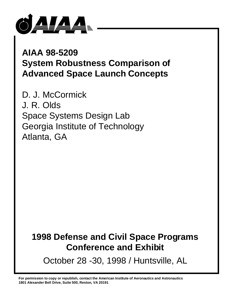

# **AIAA 98-5209 System Robustness Comparison of Advanced Space Launch Concepts**

D. J. McCormick J. R. Olds Space Systems Design Lab Georgia Institute of Technology Atlanta, GA

## **1998 Defense and Civil Space Programs Conference and Exhibit**

October 28 -30, 1998 / Huntsville, AL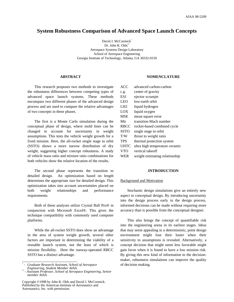### **System Robustness Comparison of Advanced Space Launch Concepts**

David J. McCormick† Dr. John R. Olds<sup>††</sup> Aerospace Systems Design Laboratory School of Aerospace Engineering Georgia Institute of Technology, Atlanta, GA 30332-0150

#### **ABSTRACT**

This research proposes two methods to investigate the robustness differences between competing types of advanced space launch systems. These methods encompass two different phases of the advanced design process and are used to compare the relative advantages of two concepts in these phases.

The first is a Monte Carlo simulation during the conceptual phase of design, where mold lines can be changed to account for uncertainty in weight assumptions. This tests the vehicle weight growth for a fixed mission. Here, the all-rocket single stage to orbit (SSTO) shows a more narrow distribution of dry weight, suggesting higher concept robustness. A study of vehicle mass ratio and mixture ratio combinations for both vehicles show the relative location of the results.

The second phase represents the transition to detailed design. An optimization based on length determines the appropriate size for detailed design. This optimization takes into account uncertainties placed on both weight relationships and performance requirements.

Both of these analyses utilize Crystal Ball Pro® in conjunction with Microsoft Excel®. This gives the technique compatibility with commonly used computer platforms.

While the all-rocket SSTO does show an advantage in the area of system weight growth, several other factors are important in determining the viability of a reusable launch system, not the least of which is mission flexibility. Here the runway-operated RBCC SSTO has a distinct advantage.

 $\overline{a}$ 

#### Copyright ©1998 by John R. Olds and David J. McCormick. Published by the American Institute of Aeronautics and Astronautics, Inc. with permission.

#### **NOMENCLATURE**

| ACC             | advanced carbon-carbon         |
|-----------------|--------------------------------|
| c.g.            | center of gravity              |
| <b>ESJ</b>      | ejector scramjet               |
| LEO             | low-earth orbit                |
| LH <sub>2</sub> | liquid hydrogen                |
| LOX             | liquid oxygen                  |
| <b>MSE</b>      | mean square error              |
| Mtr             | transition Mach number         |
| <b>RBCC</b>     | rocket-based combined cycle    |
| <b>SSTO</b>     | single stage to orbit          |
| T/W             | thrust to weight ratio         |
| <b>TPS</b>      | thermal protection system      |
| <b>UHTC</b>     | ultra high temperature ceramic |
| <b>VTO</b>      | vertical takeoff               |
| <b>WER</b>      | weight estimating relationship |

#### **INTRODUCTION**

#### Background and Motivation

Stochastic design simulations give an entirely new aspect to conceptual design. By introducing uncertainty into the design process early in the design process, informed decisions can be made without requiring more accuracy than is possible from the conceptual designer.

This also brings the concept of quantifiable risk into the engineering arena in its earliest stages. Ideas that may seem appealing in a deterministic, point design environment might lose their luster when their sensitivity to assumptions is revealed. Alternatively, a concept decision that might seem less favorable might gain favor when it is found to have a low mission risk. By giving this new kind of information to the decisionmaker, robustness simulations can improve the quality of decision making.

<sup>†</sup> *Graduate Research Assistant, School of Aerospace Engineering, Student Member AIAA.* 

*Engineering, Student Member AIAA.* †† *- Assistant Professor, School of Aerospace Engineering, Senior member AIAA.*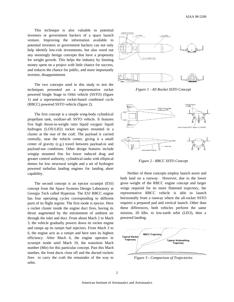This technique is also valuable to potential investors or government backers of a space launch venture. Improving the information available to potential investors or government backers can not only help identify low-risk investments, but also weed out any seemingly benign concepts that have a propensity for weight growth. This helps the industry by limiting money spent on a project with little chance for success, and reduces the chance for public, and more importantly investor, disappointment.

The two concepts used in this study to test the techniques presented are a representative rocket powered Single Stage to Orbit vehicle (SSTO) (figure 1) and a representative rocket-based combined cycle (RBCC) powered SSTO vehicle (figure 2).

The first concept is a simple wing-body cylindrical propellant tank, oxidizer-aft SSTO vehicle. It features five high thrust-to-weight ratio liquid oxygen/ liquid hydrogen (LOX/LH2) rocket engines mounted in a cluster at the rear of the craft. The payload is carried centrally, near the vehicle center, giving it a small center of gravity (c.g.) travel between payload-in and payload-out conditions. Other design features include wingtip mounted fins for lower induced drag and greater control authority, cylindrical tanks with elliptical domes for low structural weight and a set of hydrogen powered turbofan landing engines for landing abort capability.

The second concept is an ejector scramjet (ESJ) concept from the Space Systems Design Laboratory at Georgia Tech called Hyperion. The ESJ RBCC engine has four operating cycles corresponding to different parts of its flight regime. The first mode is ejector. Here a rocket cluster inside the engine duct fires, having its thrust augmented by the entrainment of ambient air through the inlet and duct. From about Mach 2 to Mach 3, the vehicle gradually powers down its rocket engine and ramps up its ramjet fuel injectors. From Mach 3 to 6, the engine acts as a ramjet and here sees its highest efficiency. After Mach 6, the engine operates in scramjet mode until Mach 10, the transition Mach number (Mtr) for this particular concept. Past this Mach number, the front ducts close off and the ducted rockets fires to carry the craft the remainder of the way to orbit.



*Figure 1 - All Rocket SSTO Concept*



*Figure 2 - RBCC SSTO Concept*

Neither of these concepts employ launch assist and both land on a runway. However, due to the lower gross weight of the RBCC engine concept and larger wings required for its more flattened trajectory, the representative RBCC vehicle is able to launch horizontally from a runway where the all-rocket SSTO requires a prepared pad and vertical launch. Other than these differences, both vehicles perform the same mission, 20 klbs. to low-earth orbit (LEO), then a powered landing.



*Figure 3 - Comparison of Trajectories*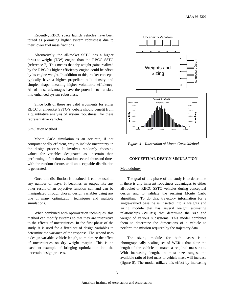Recently, RBCC space launch vehicles have been touted as promising higher system robustness due to their lower fuel mass fractions.

Alternatively, the all-rocket SSTO has a higher thrust-to-weight (T/W) engine than the RBCC SSTO (reference 7). This means that dry weight gains realized by the RBCC's higher efficiency engine could be offset by its engine weight. In addition to this, rocket concepts typically have a higher propellant bulk density and simpler shape, meaning higher volumetric efficiency. All of these advantages have the potential to translate into enhanced system robustness.

Since both of these are valid arguments for either RBCC or all-rocket SSTO's, debate should benefit from a quantitative analysis of system robustness for these representative vehicles.

#### Simulation Method

Monte Carlo simulation is an accurate, if not computationally efficient, way to include uncertainty in the design process. It involves randomly choosing values for variables designated as uncertain then performing a function evaluation several thousand times with the random factors until an acceptable distribution is generated.

Once this distribution is obtained, it can be used in any number of ways. It becomes an output like any other result of an objective function call and can be manipulated through chosen design variables using any one of many optimization techniques and multiple simulations.

When combined with optimization techniques, this method can modify systems so that they are insensitive to the effects of uncertainties. In the first phase of the study, it is used for a fixed set of design variables to determine the variance of the response. The second uses a design variable, vehicle length, to minimize the effect of uncertainties on dry weight margin. This is an excellent example of bringing optimization into the uncertain design process.



*Figure 4 – Illustration of Monte Carlo Method*

#### **CONCEPTUAL DESIGN SIMULATION**

#### Methodology

The goal of this phase of the study is to determine if there is any inherent robustness advantages to either all-rocket or RBCC SSTO vehicles during conceptual design and to validate the resizing Monte Carlo algorithm. To do this, trajectory information for a single-valued baseline is inserted into a weights and sizing module that has several weight estimating relationships (WER's) that determine the size and weight of various subsystems. This model combines them to determine the dimensions of a vehicle to perform the mission required by the trajectory data.

The sizing module for both cases is a photographically scaling set of WER's that alter the length of the vehicle to match a required mass ratio. With increasing length, in most size ranges, the available ratio of fuel mass to vehicle mass will increase (figure 5). The model utilizes this effect by increasing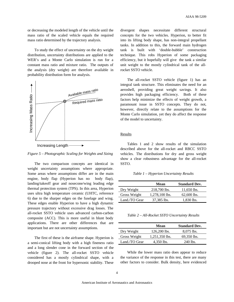or decreasing the modeled length of the vehicle until the mass ratio of the scaled vehicle equals the required mass ratio determined by the trajectory analysis.

To study the effect of uncertainty on the dry weight distribution, uncertainty distributions are applied to the WER's and a Monte Carlo simulation is run for a constant mass ratio and mixture ratio. The outputs of the analysis (dry weight) are therefore available in probability distribution form for analysis.





The two comparison concepts are identical in weight uncertainty assumptions where appropriate. Some areas where assumptions differ are in the main engine, body flap (Hyperion has no body flap), landing/takeoff gear and nosecone/wing leading edge thermal protection system (TPS). In this area, Hyperion uses ultra high temperature ceramic (UHTC, reference 6) due to the sharper edges on the fuselage and wing. These edges enable Hyperion to have a high dynamic pressure trajectory without excessive drag losses. The all-rocket SSTO vehicle uses advanced carbon-carbon composite (ACC). This is more useful in blunt body applications. There are other differences that are important but are not uncertainty assumptions.

The first of these is the airframe shape. Hyperion is a semi-conical lifting body with a high fineness ratio and a long slender cone in the forward section of the vehicle (figure 2). The all-rocket SSTO vehicle considered has a mostly cylindrical shape, with a drooped nose at the front for hypersonic stability. These

divergent shapes necessitate different structural concepts for the two vehicles. Hyperion, to better fit into its lifting body shape, has non-integral propellant tanks. In addition to this, the forward main hydrogen tank is built with 'double-bubble' construction technique. This robs Hyperion of some packaging efficiency, but it hopefully will give the tank a similar unit weight to the mostly cylindrical tank of the allrocket SSTO vehicle.

The all-rocket SSTO vehicle (figure 1) has an integral tank structure. This eliminates the need for an aeroshell, providing great weight savings. It also provides high packaging efficiency. Both of these factors help minimize the effects of weight growth, a paramount issue in SSTO concepts. They do not, however, directly relate to the assumptions for the Monte Carlo simulation, yet they do affect the response of the model to uncertainty.

#### Results

Tables 1 and 2 show results of the simulation described above for the all-rocket and RBCC SSTO vehicles. The distributions for dry and gross weight show a clear robustness advantage for the all-rocket SSTO.

*Table 1 – Hyperion Uncertainty Results*

|               | <b>Mean</b>    | <b>Standard Dev.</b> |
|---------------|----------------|----------------------|
| Dry Weight    | 218,700 lbs.   | $11,650$ lbs.        |
| Gross Weight  | 1,278,100 lbs. | $62,600$ lbs.        |
| Land./TO Gear | 37.385 lbs.    | 1,830 lbs.           |

*Table 2 – All-Rocket SSTO Uncertainty Results*

|               | <b>Mean</b>    | <b>Standard Dev.</b> |
|---------------|----------------|----------------------|
| Dry Weight    | 126,200 lbs.   | $8,075$ lbs.         |
| Gross Weight  | 1,251,350 lbs. | 69,350 lbs.          |
| Land./TO Gear | 4.350 lbs.     | 240 lbs.             |

While the lower mass ratio does appear to reduce the variance of the response in this test, there are many other factors to consider. Bulk density, here evidenced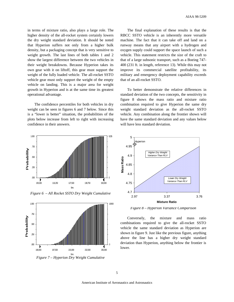in terms of mixture ratio, also plays a large role. The higher density of the all-rocket system certainly lowers the dry weight standard deviation. It should be noted that Hyperion suffers not only from a higher bulk density, but a packaging concept that is very sensitive to weight growth. The last lines of both tables 1 and 2 show the largest difference between the two vehicles in their weight breakdowns. Because Hyperion takes its own gear with it on liftoff, this gear must support the weight of the fully loaded vehicle. The all-rocket SSTO vehicle gear must only support the weight of the empty vehicle on landing. This is a major area for weight growth in Hyperion and is at the same time its greatest operational advantage.

confidence in their answers. The confidence percentiles for both vehicles in dry weight can be seen in figures 6 and 7 below. Since this is a "lower is better" situation, the probabilities of the plots below increase from left to right with increasing



Figure 6 - All Rocket SSTO Dry Weight Cumulative



The final explanation of these results is that the RBCC SSTO vehicle is an inherently more versatile machine. The fact that it can take off and land on a runway means that any airport with a hydrogen and oxygen supply could support the space launch of such a vehicle. This statement restricts the size of the craft to that of a large subsonic transport, such as a Boeing 747- 400 (231 ft. in length, reference 13). While this may not improve its commercial satellite profitability, its military and emergency deployment capability exceeds that of an all-rocket SSTO.

To better demonstrate the relative differences in standard deviation of the two concepts, the sensitivity in figure 8 shows the mass ratio and mixture ratio combination required to give Hyperion the same dry weight standard deviation as the all-rocket SSTO vehicle. Any combination along the frontier shown will have the same standard deviation and any values below will have less standard deviation.



*Figure 8 – Hyperion Variance Comparison*

Conversely, the mixture and mass ratio combinations required to give the all-rocket SSTO vehicle the same standard deviation as Hyperion are shown in figure 9. Just like the previous figure, anything above the line has a higher dry weight standard deviation than Hyperion, anything below the frontier is lower.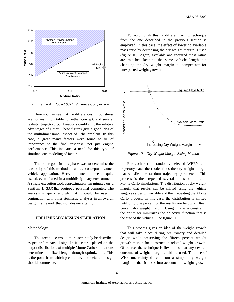

*Figure 9 – All Rocket SSTO Variance Comparison*

Here you can see that the differences in robustness are not insurmountable for either concept, and several realistic trajectory combinations could shift the relative advantages of either. These figures give a good idea of the multidimensional aspect of the problem. In this case, a great many factors were found to be of importance to the final response, not just engine performance. This indicates a need for this type of simultaneous modeling of factors.

The other goal in this phase was to determine the feasibility of this method in a true conceptual launch vehicle application. Here, the method seems quite useful, even if used in a multidisciplinary environment. A single execution took approximately ten minutes on a Pentium II 333Mhz equipped personal computer. The analysis is quick enough that it could be used in conjunction with other stochastic analyses in an overall design framework that includes uncertainty.

#### **PRELIMINARY DESIGN SIMULATION**

#### **Methodology**

This technique would more accurately be described as pre-preliminary design. In it, criteria placed on the output distributions of multiple Monte Carlo simulations determines the fixed length through optimization. This is the point from which preliminary and detailed design should commence.

To accomplish this, a different sizing technique from the one described in the previous section is employed. In this case, the effect of lowering available mass ratio by decreasing the dry weight margin is used (figure 10). Again, available and required mass ratios are matched keeping the same vehicle length but changing the dry weight margin to compensate for unexpected weight growth.



*Figure 10 – Dry Weight Margin Sizing Method*

For each set of randomly selected WER's and trajectory data, the model finds the dry weight margin that satisfies the random trajectory parameters. This process is then repeated several thousand times in Monte Carlo simulations. The distribution of dry weight margin that results can be shifted using the vehicle length as a design variable and then repeating the Monte Carlo process. In this case, the distribution is shifted until only one percent of the results are below a fifteen percent dry weight margin. Using this as a constraint, the optimizer minimizes the objective function that is the size of the vehicle. See figure 11.

This process gives an idea of the weight growth that will take place during preliminary and detailed design while preserving the fifteen percent weight growth margin for construction related weight growth. Of course, the technique is flexible so that any desired outcome of weight margin could be used. This use of WER uncertainty differs from a simple dry weight margin in that it takes into account the weight growth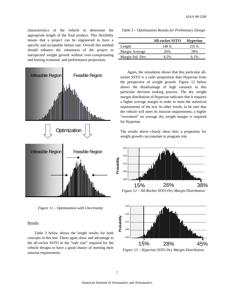characteristics of the vehicle to determine the appropriate length of the final product. This flexibility means that a project can be engineered to have a specific and acceptable failure rate. Overall this method should enhance the robustness of the project to unexpected weight growth without over-compensating and hurting economic and performance projections.



*Figure 11 – Optimization with Uncertainty*

#### Results

Table 3 below shows the length results for both concepts in this test. These again show and advantage to the all-rocket SSTO in the "safe size" required for the vehicle designs to have a good chance of meeting their mission requirements.

| Table 3 – Optimization Results for Preliminary Design |  |  |
|-------------------------------------------------------|--|--|
|                                                       |  |  |

|                  | <b>All-rocket SSTO</b> | <b>Hyperion</b> |
|------------------|------------------------|-----------------|
| Length           | 148 ft.                | $255$ ft.       |
| Margin Average   | 26%                    | 28%             |
| Margin Std. Dev. | 4 5%                   | 6 1%            |

Again, the simulation shows that this particular allrocket SSTO is a safer proposition than Hyperion from the perspective of weight growth. Figure 12 below shows the disadvantage of high variance in this particular decision making process. The dry weight margin distribution of Hyperion indicates that it requires a higher average margin in order to meet the statistical requirements of the test. In other words, to be sure that the vehicle will meet its mission requirements, a higher "overshoot" on average dry weight margin is required for Hyperion.

The results above clearly show how a propensity for weight growth can translate to program risk.



*Figure 12 – All-Rocket SSTO Dry Margin Distribution*



*Figure 13 – Hyperion SSTO Dry Margin Distribution*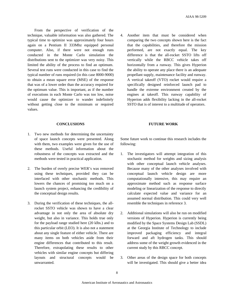From the perspective of verification of the technique, valuable information was also gathered. The typical time to optimize was approximately four hours again on a Pentium II 333Mhz equipped personal computer. Also, if there were not enough runs conducted in the Monte Carlo simulation the distributions sent to the optimizer was very noisy. This limited the ability of the process to find an optimum. Several test runs were conducted in this case to find the typical number of runs required (in this case 8000-9000) to obtain a mean square error (MSE) of the response that was of a lower order than the accuracy required for the optimum value. This is important, as if the number of executions in each Monte Carlo was too low, noise would cause the optimizer to wander indefinitely without getting close to the minimum or required values.

#### **CONCLUSIONS**

- 1. Two new methods for determining the uncertainty of space launch concepts were presented. Along with them, two examples were given for the use of these methods. Useful information about the robustness of the concepts was extracted and the methods were tested in practical application.
- 2. The burden of overly precise WER's was removed using these techniques, provided they can be interfaced with other stochastic methods. This lowers the chances of promising too much on a launch system project, enhancing the credibility of the conceptual design results.
- 3. During the verification of these techniques, the allrocket SSTO vehicle was shown to have a clear advantage in not only the area of absolute dry weight, but also in variance. This holds true only for the payload range studied here (20 klbs.) and to this particular orbit (LEO). It is also not a statement about any single feature of either vehicle. There are many items on both vehicles aside from their engine differences that contributed to this result. Therefore, extrapolating these results to other vehicles with similar engine concepts but differing layouts and structural concepts would be unwarranted.

4. Another item that must be considered when comparing the two concepts shown here is the fact that the capabilities, and therefore the mission performed, are not exactly equal. The key difference is that the all-rocket SSTO lifts off vertically while the RBCC vehicle takes off horizontally from a runway. This gives Hyperion the ability to operate any place there is an adequate propellant supply, maintenance facility and runway. A vertical takeoff (VTO) rocket would require a specifically designed reinforced launch pad to handle the extreme environment created by the engines at takeoff. This runway capability of Hyperion adds flexibility lacking in the all-rocket SSTO that is of interest to a multitude of operators.

#### **FUTURE WORK**

Some future work to continue this research includes the following:

- 1. The investigators will attempt integration of this stochastic method for weights and sizing analysis with other conceptual launch vehicle analyses. Because many of the other analyses involved with conceptual launch vehicle design are more computationally intensive, this may require an approximate method such as response surface modeling or linearization of the response to directly calculate expected value and variance for an assumed normal distribution. This could very well resemble the techniques in reference 3.
- 2. Additional simulations will also be run on modified versions of Hyperion. Hyperion is currently being modified by the Space Systems Design Lab (SSDL) at the Georgia Institute of Technology to include improved packaging efficiency and integral forward and aft hydrogen tanks. This should address some of the weight growth evidenced in the current study by this RBCC concept.
- 3. Other areas of the design space for both concepts will be investigated. This should give a better idea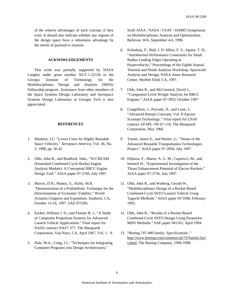of the relative advantages of each concept, if they exist. It should also indicate whether any regions of the design space have a robustness advantage by the merits of payload or mission.

#### **ACKNOWLEDGEMENTS**

This work was partially supported by NASA Langley under grant number NGT-1-52156 to the Georgia Institute of Technology for the Multidisciplinary Design and Analysis (MDA) Fellowship program. Assistance from other members of the Space Systems Design Laboratory and Aerospace Systems Design Laboratory at Georgia Tech is also appreciated.

#### **REFERENCES**

- 1. Mankins, J.C. "Lower Costs for Highly Reusable Space Vehicles," *Aerospace America*, Vol. 36, No. 3, 1998, pp. 36-42
- 2. Olds, John R., and Bradford, John., "SCCREAM (Simulated Combined-Cycle Rocket Engine Analysis Module): A Conceptual RBCC Engine Design Tool." AIAA paper 97-2760, July 1997
- 3. Mavris, D.N., Mantis, G., Kirby, M.R. "Demonstration of a Probabilistic Technique for the Determination of Economic Viability," World Aviation Congress and Exposition, Anaheim, CA, October 13-16, 1997. SAE-975585.
- 4. Escher, William J. D., and Flornes B. J., "A Study of Composite Propulsion Systems for Advanced Launch Vehicle Applications." Final report for NASA contract NAS7-377, The Marquardt Corporation, Van Nuys, CA, April 1967, Vol. 1 - 9.
- 5. Hale, M.A., Craig, J.I., "Techniques for Integrating Computer Programs into Design Architectures,"

Sixth AIAA / NASA / USAF / ISSMO Symposium on Multidisciplinary Analysis and Optimization, Bellevue, WA, September 4-6, 1996.

- 6. Kolodziej, P., Bull, J. D. Milos, F. S., Squire, T. H., "Aerothermal Performance Constraints for Small Radius Leading Edges Operating at Hypervelocity," Proceedings of the Eighth Annual Thermal and Fluids Analysis Workshop: Spacecraft Analysis and Design, NASA Ames Research Center, Moffett Field, CA, 1997.
- 7. Olds, John R., and McCormick, David J., "Component-Level Weight Analysis for RBCC Engines." AIAA paper 97-3953, October 1997
- 8. Congelliere, J., Prevatte, N., and Lime, J., "Advanced Ramjet Concepts, Vol. II Ejector Scramjet Technology." Final report for USAF contract AFAPL-TR-67-118, The Marquardt Corporation, May 1968.
- 9. Turner, James E., and Hueter, U., "Status of the Advanced Reusable Transportation Technologies Project." AIAA paper 97-2856, July 1997.
- 10. Dijkstra, F., Maree, A. G. M., Caporicci, M., and Immich H., "Experimental Investigation of the Thrust Enhancement Potential of Ejector Rockets." AIAA paper 97-2756, July 1997.
- 11. Olds, John R., and Walberg, Gerald W., "Multidisciplinary Design of a Rocket-Based Combined-Cycle SSTO Launch Vehicle Using Taguchi Methods." AIAA paper 93-1096, February 1993.
- 12. Olds, John R., "Results of a Rocket-Based Combined-Cycle SSTO Design Using Parametric MDO Methods." SAE paper 941165, April 1994.
- 13. "Boeing 747-400 family: Specifications ," http://www.boeing.com/commercial/747family/fact s.html, The Boeing Company, 1996-1998.